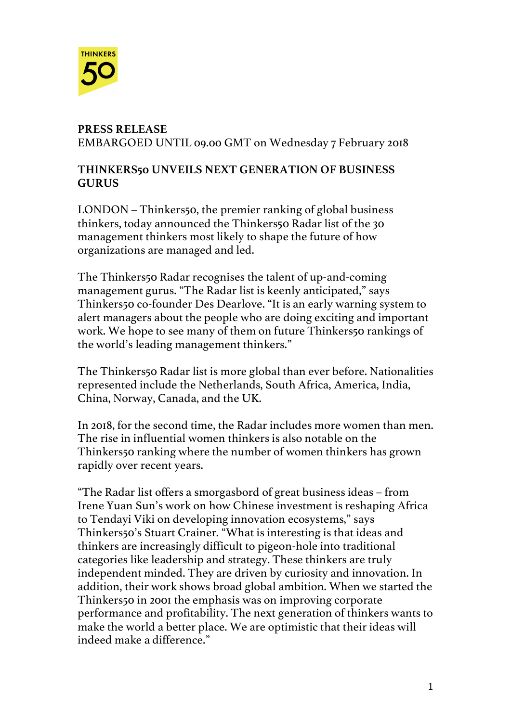

### **PRESS RELEASE**  EMBARGOED UNTIL 09.00 GMT on Wednesday 7 February 2018

### **THINKERS50 UNVEILS NEXT GENERATION OF BUSINESS GURUS**

LONDON – Thinkers50, the premier ranking of global business thinkers, today announced the Thinkers50 Radar list of the 30 management thinkers most likely to shape the future of how organizations are managed and led.

The Thinkers50 Radar recognises the talent of up-and-coming management gurus. "The Radar list is keenly anticipated," says Thinkers50 co-founder Des Dearlove. "It is an early warning system to alert managers about the people who are doing exciting and important work. We hope to see many of them on future Thinkers50 rankings of the world's leading management thinkers."

The Thinkers50 Radar list is more global than ever before. Nationalities represented include the Netherlands, South Africa, America, India, China, Norway, Canada, and the UK.

In 2018, for the second time, the Radar includes more women than men. The rise in influential women thinkers is also notable on the Thinkers50 ranking where the number of women thinkers has grown rapidly over recent years.

"The Radar list offers a smorgasbord of great business ideas – from Irene Yuan Sun's work on how Chinese investment is reshaping Africa to Tendayi Viki on developing innovation ecosystems," says Thinkers50's Stuart Crainer. "What is interesting is that ideas and thinkers are increasingly difficult to pigeon-hole into traditional categories like leadership and strategy. These thinkers are truly independent minded. They are driven by curiosity and innovation. In addition, their work shows broad global ambition. When we started the Thinkers50 in 2001 the emphasis was on improving corporate performance and profitability. The next generation of thinkers wants to make the world a better place. We are optimistic that their ideas will indeed make a difference."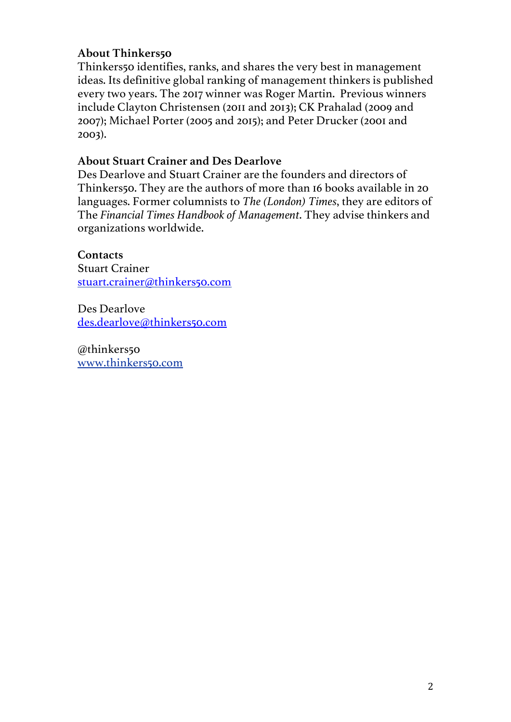#### **About Thinkers50**

Thinkers50 identifies, ranks, and shares the very best in management ideas. Its definitive global ranking of management thinkers is published every two years. The 2017 winner was Roger Martin. Previous winners include Clayton Christensen (2011 and 2013); CK Prahalad (2009 and 2007); Michael Porter (2005 and 2015); and Peter Drucker (2001 and 2003).

#### **About Stuart Crainer and Des Dearlove**

Des Dearlove and Stuart Crainer are the founders and directors of Thinkers50. They are the authors of more than 16 books available in 20 languages. Former columnists to *The (London) Times*, they are editors of The *Financial Times Handbook of Management*. They advise thinkers and organizations worldwide.

#### **Contacts**

Stuart Crainer stuart.crainer@thinkers50.com

Des Dearlove des.dearlove@thinkers50.com

@thinkers50 www.thinkers50.com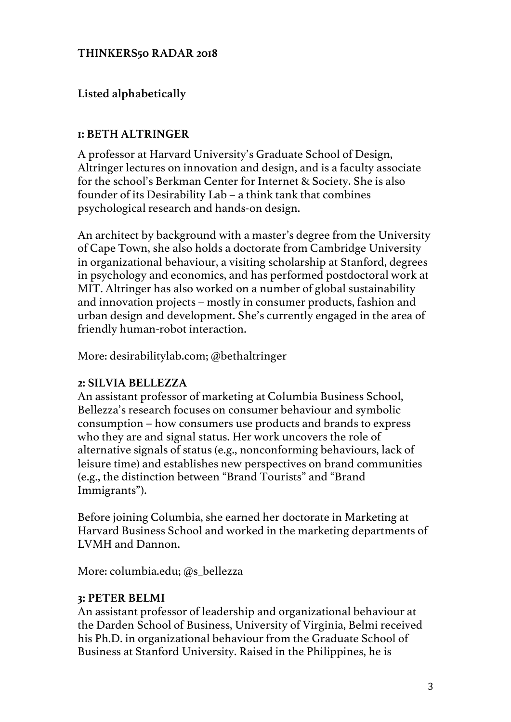### **THINKERS50 RADAR 2018**

### **Listed alphabetically**

#### **1: BETH ALTRINGER**

A professor at Harvard University's Graduate School of Design, Altringer lectures on innovation and design, and is a faculty associate for the school's Berkman Center for Internet & Society. She is also founder of its Desirability Lab – a think tank that combines psychological research and hands-on design.

An architect by background with a master's degree from the University of Cape Town, she also holds a doctorate from Cambridge University in organizational behaviour, a visiting scholarship at Stanford, degrees in psychology and economics, and has performed postdoctoral work at MIT. Altringer has also worked on a number of global sustainability and innovation projects – mostly in consumer products, fashion and urban design and development. She's currently engaged in the area of friendly human-robot interaction.

More: desirabilitylab.com; @bethaltringer

#### **2: SILVIA BELLEZZA**

An assistant professor of marketing at Columbia Business School, Bellezza's research focuses on consumer behaviour and symbolic consumption – how consumers use products and brands to express who they are and signal status. Her work uncovers the role of alternative signals of status (e.g., nonconforming behaviours, lack of leisure time) and establishes new perspectives on brand communities (e.g., the distinction between "Brand Tourists" and "Brand Immigrants").

Before joining Columbia, she earned her doctorate in Marketing at Harvard Business School and worked in the marketing departments of LVMH and Dannon.

More: columbia.edu; @s\_bellezza

#### **3: PETER BELMI**

An assistant professor of leadership and organizational behaviour at the Darden School of Business, University of Virginia, Belmi received his Ph.D. in organizational behaviour from the Graduate School of Business at Stanford University. Raised in the Philippines, he is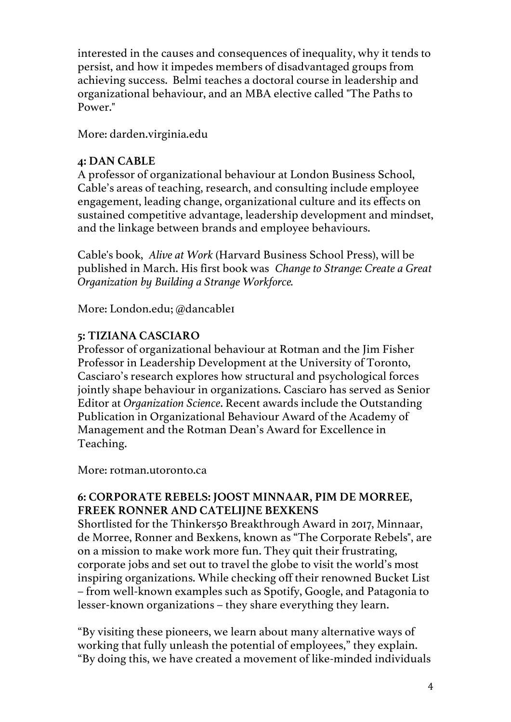interested in the causes and consequences of inequality, why it tends to persist, and how it impedes members of disadvantaged groups from achieving success. Belmi teaches a doctoral course in leadership and organizational behaviour, and an MBA elective called "The Paths to Power."

More: darden.virginia.edu

#### **4: DAN CABLE**

A professor of organizational behaviour at London Business School, Cable's areas of teaching, research, and consulting include employee engagement, leading change, organizational culture and its effects on sustained competitive advantage, leadership development and mindset, and the linkage between brands and employee behaviours.

Cable's book, *Alive at Work* (Harvard Business School Press), will be published in March. His first book was *Change to Strange: Create a Great Organization by Building a Strange Workforce.*

More: London.edu; @dancable1

### **5: TIZIANA CASCIARO**

Professor of organizational behaviour at Rotman and the Jim Fisher Professor in Leadership Development at the University of Toronto, Casciaro's research explores how structural and psychological forces jointly shape behaviour in organizations. Casciaro has served as Senior Editor at *Organization Science*. Recent awards include the Outstanding Publication in Organizational Behaviour Award of the Academy of Management and the Rotman Dean's Award for Excellence in Teaching.

More: rotman.utoronto.ca

### **6: CORPORATE REBELS: JOOST MINNAAR, PIM DE MORREE, FREEK RONNER AND CATELIJNE BEXKENS**

Shortlisted for the Thinkers50 Breakthrough Award in 2017, Minnaar, de Morree, Ronner and Bexkens, known as "The Corporate Rebels", are on a mission to make work more fun. They quit their frustrating, corporate jobs and set out to travel the globe to visit the world's most inspiring organizations. While checking off their renowned Bucket List – from well-known examples such as Spotify, Google, and Patagonia to lesser-known organizations – they share everything they learn.

"By visiting these pioneers, we learn about many alternative ways of working that fully unleash the potential of employees," they explain. "By doing this, we have created a movement of like-minded individuals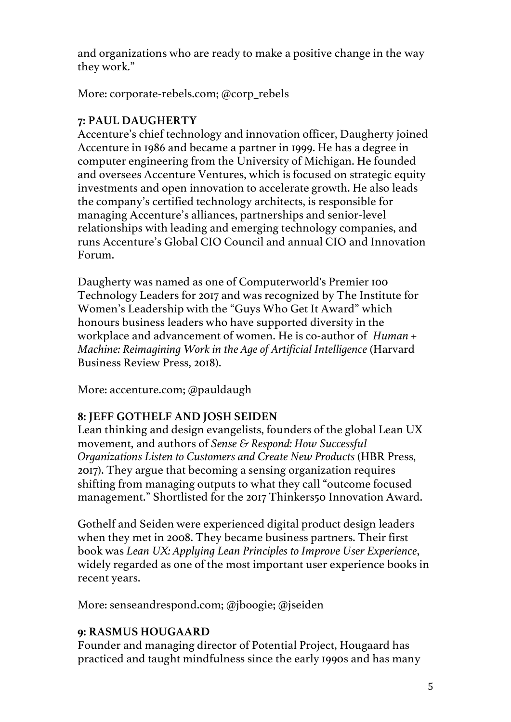and organizations who are ready to make a positive change in the way they work."

More: corporate-rebels.com; @corp\_rebels

# **7: PAUL DAUGHERTY**

Accenture's chief technology and innovation officer, Daugherty joined Accenture in 1986 and became a partner in 1999. He has a degree in computer engineering from the University of Michigan. He founded and oversees Accenture Ventures, which is focused on strategic equity investments and open innovation to accelerate growth. He also leads the company's certified technology architects, is responsible for managing Accenture's alliances, partnerships and senior-level relationships with leading and emerging technology companies, and runs Accenture's Global CIO Council and annual CIO and Innovation Forum.

Daugherty was named as one of Computerworld's Premier 100 Technology Leaders for 2017 and was recognized by The Institute for Women's Leadership with the "Guys Who Get It Award" which honours business leaders who have supported diversity in the workplace and advancement of women. He is co-author of *Human + Machine: Reimagining Work in the Age of Artificial Intelligence* (Harvard Business Review Press, 2018).

More: accenture.com; @pauldaugh

# **8: JEFF GOTHELF AND JOSH SEIDEN**

Lean thinking and design evangelists, founders of the global Lean UX movement, and authors of *Sense & Respond: How Successful Organizations Listen to Customers and Create New Products* (HBR Press, 2017). They argue that becoming a sensing organization requires shifting from managing outputs to what they call "outcome focused management." Shortlisted for the 2017 Thinkers50 Innovation Award.

Gothelf and Seiden were experienced digital product design leaders when they met in 2008. They became business partners. Their first book was *Lean UX: Applying Lean Principles to Improve User Experience*, widely regarded as one of the most important user experience books in recent years.

More: senseandrespond.com; @jboogie; @jseiden

# **9: RASMUS HOUGAARD**

Founder and managing director of Potential Project, Hougaard has practiced and taught mindfulness since the early 1990s and has many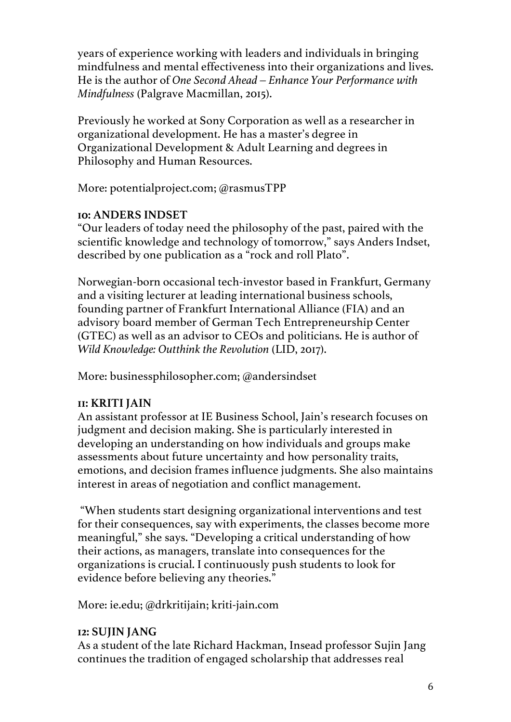years of experience working with leaders and individuals in bringing mindfulness and mental effectiveness into their organizations and lives. He is the author of *One Second Ahead – Enhance Your Performance with Mindfulness* (Palgrave Macmillan, 2015).

Previously he worked at Sony Corporation as well as a researcher in organizational development. He has a master's degree in Organizational Development & Adult Learning and degrees in Philosophy and Human Resources.

More: potentialproject.com; @rasmusTPP

### **10: ANDERS INDSET**

"Our leaders of today need the philosophy of the past, paired with the scientific knowledge and technology of tomorrow," says Anders Indset, described by one publication as a "rock and roll Plato".

Norwegian-born occasional tech-investor based in Frankfurt, Germany and a visiting lecturer at leading international business schools, founding partner of Frankfurt International Alliance (FIA) and an advisory board member of German Tech Entrepreneurship Center (GTEC) as well as an advisor to CEOs and politicians. He is author of *Wild Knowledge: Outthink the Revolution* (LID, 2017).

More: businessphilosopher.com; @andersindset

# **11: KRITI JAIN**

An assistant professor at IE Business School, Jain's research focuses on judgment and decision making. She is particularly interested in developing an understanding on how individuals and groups make assessments about future uncertainty and how personality traits, emotions, and decision frames influence judgments. She also maintains interest in areas of negotiation and conflict management.

"When students start designing organizational interventions and test for their consequences, say with experiments, the classes become more meaningful," she says. "Developing a critical understanding of how their actions, as managers, translate into consequences for the organizations is crucial. I continuously push students to look for evidence before believing any theories."

More: ie.edu; @drkritijain; kriti-jain.com

# **12: SUJIN JANG**

As a student of the late Richard Hackman, Insead professor Sujin Jang continues the tradition of engaged scholarship that addresses real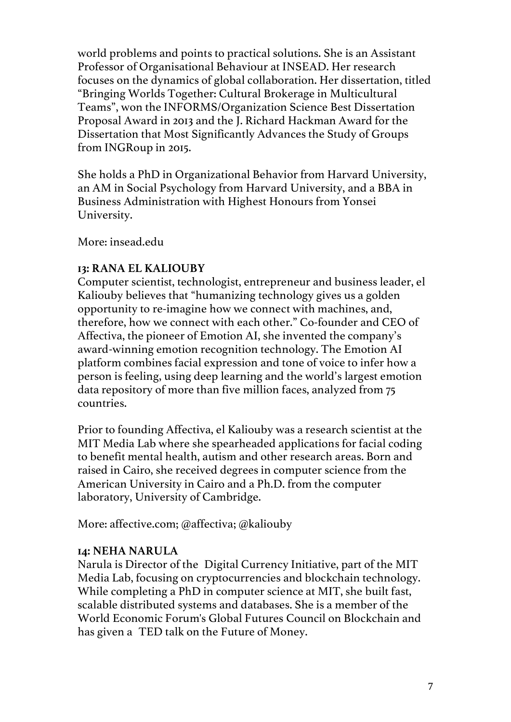world problems and points to practical solutions. She is an Assistant Professor of Organisational Behaviour at INSEAD. Her research focuses on the dynamics of global collaboration. Her dissertation, titled "Bringing Worlds Together: Cultural Brokerage in Multicultural Teams", won the INFORMS/Organization Science Best Dissertation Proposal Award in 2013 and the J. Richard Hackman Award for the Dissertation that Most Significantly Advances the Study of Groups from INGRoup in 2015.

She holds a PhD in Organizational Behavior from Harvard University, an AM in Social Psychology from Harvard University, and a BBA in Business Administration with Highest Honours from Yonsei University.

More: insead.edu

### **13: RANA EL KALIOUBY**

Computer scientist, technologist, entrepreneur and business leader, el Kaliouby believes that "humanizing technology gives us a golden opportunity to re-imagine how we connect with machines, and, therefore, how we connect with each other." Co-founder and CEO of Affectiva, the pioneer of Emotion AI, she invented the company's award-winning emotion recognition technology. The Emotion AI platform combines facial expression and tone of voice to infer how a person is feeling, using deep learning and the world's largest emotion data repository of more than five million faces, analyzed from 75 countries.

Prior to founding Affectiva, el Kaliouby was a research scientist at the MIT Media Lab where she spearheaded applications for facial coding to benefit mental health, autism and other research areas. Born and raised in Cairo, she received degrees in computer science from the American University in Cairo and a Ph.D. from the computer laboratory, University of Cambridge.

More: affective.com; @affectiva; @kaliouby

#### **14: NEHA NARULA**

Narula is Director of the Digital Currency Initiative, part of the MIT Media Lab, focusing on cryptocurrencies and blockchain technology. While completing a PhD in computer science at MIT, she built fast, scalable distributed systems and databases. She is a member of the World Economic Forum's Global Futures Council on Blockchain and has given a TED talk on the Future of Money.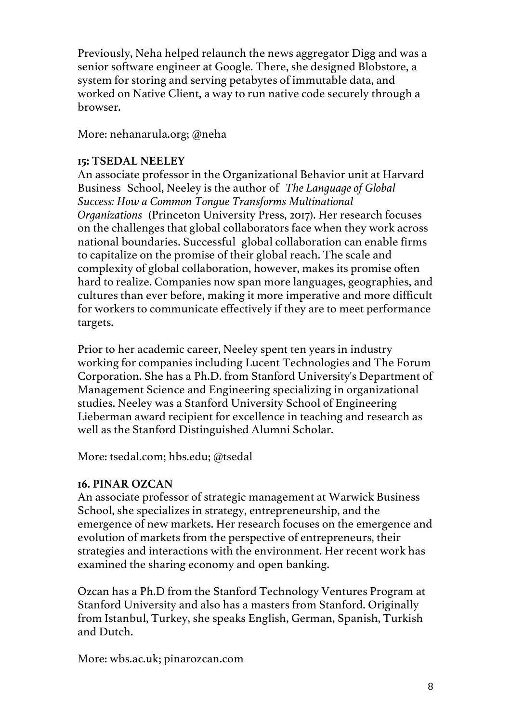Previously, Neha helped relaunch the news aggregator Digg and was a senior software engineer at Google. There, she designed Blobstore, a system for storing and serving petabytes of immutable data, and worked on Native Client, a way to run native code securely through a browser.

More: nehanarula.org; @neha

#### **15: TSEDAL NEELEY**

An associate professor in the Organizational Behavior unit at Harvard Business School, Neeley is the author of *The Language of Global Success: How a Common Tongue Transforms Multinational Organizations* (Princeton University Press, 2017). Her research focuses on the challenges that global collaborators face when they work across national boundaries. Successful global collaboration can enable firms to capitalize on the promise of their global reach. The scale and complexity of global collaboration, however, makes its promise often hard to realize. Companies now span more languages, geographies, and cultures than ever before, making it more imperative and more difficult for workers to communicate effectively if they are to meet performance targets.

Prior to her academic career, Neeley spent ten years in industry working for companies including Lucent Technologies and The Forum Corporation. She has a Ph.D. from Stanford University's Department of Management Science and Engineering specializing in organizational studies. Neeley was a Stanford University School of Engineering Lieberman award recipient for excellence in teaching and research as well as the Stanford Distinguished Alumni Scholar.

More: tsedal.com; hbs.edu; @tsedal

#### **16. PINAR OZCAN**

An associate professor of strategic management at Warwick Business School, she specializes in strategy, entrepreneurship, and the emergence of new markets. Her research focuses on the emergence and evolution of markets from the perspective of entrepreneurs, their strategies and interactions with the environment. Her recent work has examined the sharing economy and open banking.

Ozcan has a Ph.D from the Stanford Technology Ventures Program at Stanford University and also has a masters from Stanford. Originally from Istanbul, Turkey, she speaks English, German, Spanish, Turkish and Dutch.

More: wbs.ac.uk; pinarozcan.com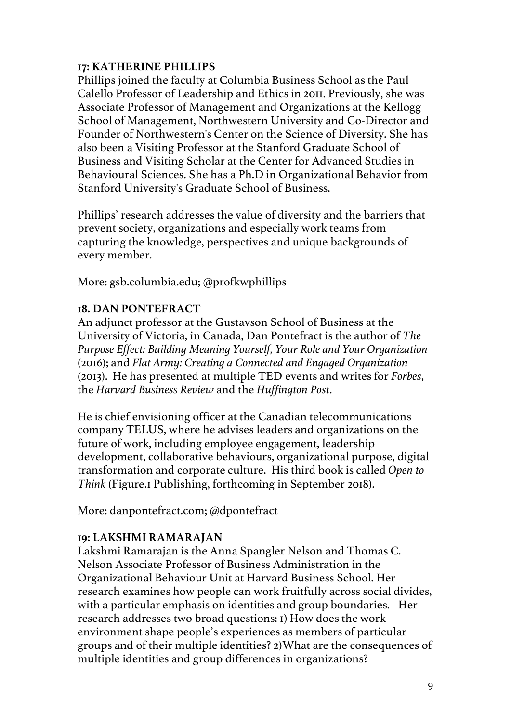#### **17: KATHERINE PHILLIPS**

Phillips joined the faculty at Columbia Business School as the Paul Calello Professor of Leadership and Ethics in 2011. Previously, she was Associate Professor of Management and Organizations at the Kellogg School of Management, Northwestern University and Co-Director and Founder of Northwestern's Center on the Science of Diversity. She has also been a Visiting Professor at the Stanford Graduate School of Business and Visiting Scholar at the Center for Advanced Studies in Behavioural Sciences. She has a Ph.D in Organizational Behavior from Stanford University's Graduate School of Business.

Phillips' research addresses the value of diversity and the barriers that prevent society, organizations and especially work teams from capturing the knowledge, perspectives and unique backgrounds of every member.

More: gsb.columbia.edu; @profkwphillips

### **18. DAN PONTEFRACT**

An adjunct professor at the Gustavson School of Business at the University of Victoria, in Canada, Dan Pontefract is the author of *The Purpose Effect: Building Meaning Yourself, Your Role and Your Organization*  (2016); and *Flat Army: Creating a Connected and Engaged Organization* (2013). He has presented at multiple TED events and writes for *Forbes*, the *Harvard Business Review* and the *Huffington Post*.

He is chief envisioning officer at the Canadian telecommunications company TELUS, where he advises leaders and organizations on the future of work, including employee engagement, leadership development, collaborative behaviours, organizational purpose, digital transformation and corporate culture. His third book is called *Open to Think* (Figure.1 Publishing, forthcoming in September 2018).

More: danpontefract.com; @dpontefract

### **19: LAKSHMI RAMARAJAN**

Lakshmi Ramarajan is the Anna Spangler Nelson and Thomas C. Nelson Associate Professor of Business Administration in the Organizational Behaviour Unit at Harvard Business School. Her research examines how people can work fruitfully across social divides, with a particular emphasis on identities and group boundaries. Her research addresses two broad questions: 1) How does the work environment shape people's experiences as members of particular groups and of their multiple identities? 2)What are the consequences of multiple identities and group differences in organizations?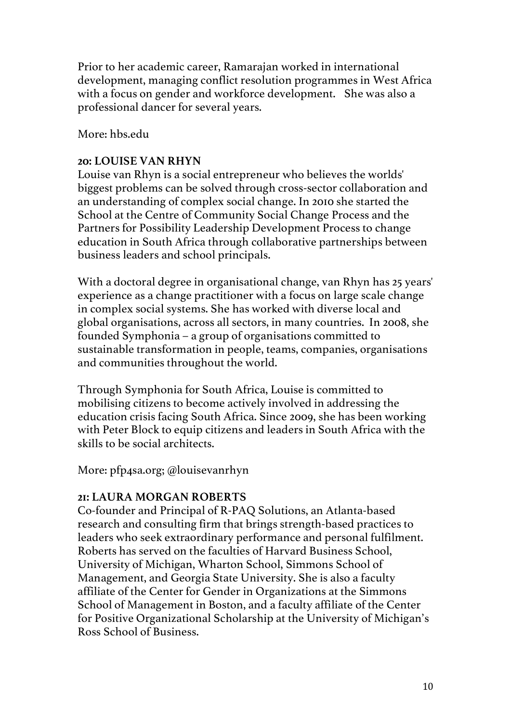Prior to her academic career, Ramarajan worked in international development, managing conflict resolution programmes in West Africa with a focus on gender and workforce development. She was also a professional dancer for several years.

More: hbs.edu

### **20: LOUISE VAN RHYN**

Louise van Rhyn is a social entrepreneur who believes the worlds' biggest problems can be solved through cross-sector collaboration and an understanding of complex social change. In 2010 she started the School at the Centre of Community Social Change Process and the Partners for Possibility Leadership Development Process to change education in South Africa through collaborative partnerships between business leaders and school principals.

With a doctoral degree in organisational change, van Rhyn has 25 years' experience as a change practitioner with a focus on large scale change in complex social systems. She has worked with diverse local and global organisations, across all sectors, in many countries. In 2008, she founded Symphonia – a group of organisations committed to sustainable transformation in people, teams, companies, organisations and communities throughout the world.

Through Symphonia for South Africa, Louise is committed to mobilising citizens to become actively involved in addressing the education crisis facing South Africa. Since 2009, she has been working with Peter Block to equip citizens and leaders in South Africa with the skills to be social architects.

More: pfp4sa.org; @louisevanrhyn

### **21: LAURA MORGAN ROBERTS**

Co-founder and Principal of R-PAQ Solutions, an Atlanta-based research and consulting firm that brings strength-based practices to leaders who seek extraordinary performance and personal fulfilment. Roberts has served on the faculties of Harvard Business School, University of Michigan, Wharton School, Simmons School of Management, and Georgia State University. She is also a faculty affiliate of the Center for Gender in Organizations at the Simmons School of Management in Boston, and a faculty affiliate of the Center for Positive Organizational Scholarship at the University of Michigan's Ross School of Business.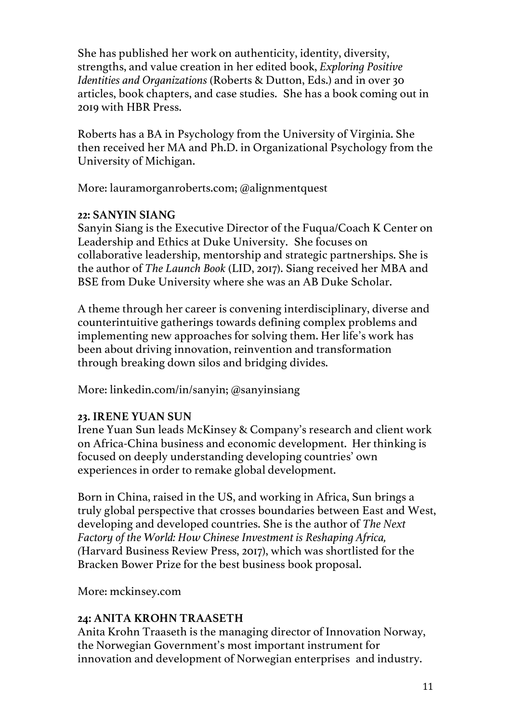She has published her work on authenticity, identity, diversity, strengths, and value creation in her edited book, *Exploring Positive Identities and Organizations* (Roberts & Dutton, Eds.) and in over 30 articles, book chapters, and case studies. She has a book coming out in 2019 with HBR Press.

Roberts has a BA in Psychology from the University of Virginia. She then received her MA and Ph.D. in Organizational Psychology from the University of Michigan.

More: lauramorganroberts.com; @alignmentquest

#### **22: SANYIN SIANG**

Sanyin Siang is the Executive Director of the Fuqua/Coach K Center on Leadership and Ethics at Duke University. She focuses on collaborative leadership, mentorship and strategic partnerships. She is the author of *The Launch Book* (LID, 2017). Siang received her MBA and BSE from Duke University where she was an AB Duke Scholar.

A theme through her career is convening interdisciplinary, diverse and counterintuitive gatherings towards defining complex problems and implementing new approaches for solving them. Her life's work has been about driving innovation, reinvention and transformation through breaking down silos and bridging divides.

More: linkedin.com/in/sanyin; @sanyinsiang

### **23. IRENE YUAN SUN**

Irene Yuan Sun leads McKinsey & Company's research and client work on Africa-China business and economic development. Her thinking is focused on deeply understanding developing countries' own experiences in order to remake global development.

Born in China, raised in the US, and working in Africa, Sun brings a truly global perspective that crosses boundaries between East and West, developing and developed countries. She is the author of *The Next Factory of the World: How Chinese Investment is Reshaping Africa, (*Harvard Business Review Press, 2017), which was shortlisted for the Bracken Bower Prize for the best business book proposal.

More: mckinsey.com

#### **24: ANITA KROHN TRAASETH**

Anita Krohn Traaseth is the managing director of Innovation Norway, the Norwegian Government's most important instrument for innovation and development of Norwegian enterprises and industry.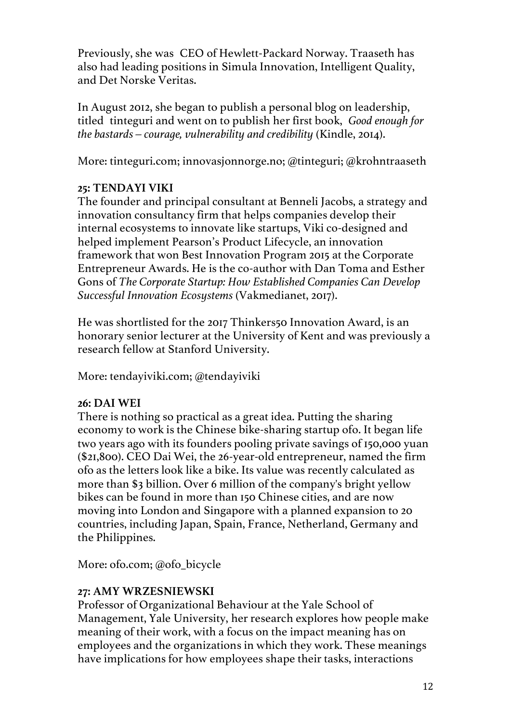Previously, she was CEO of Hewlett-Packard Norway. Traaseth has also had leading positions in Simula Innovation, Intelligent Quality, and Det Norske Veritas.

In August 2012, she began to publish a personal blog on leadership, titled tinteguri and went on to publish her first book, *Good enough for the bastards – courage, vulnerability and credibility* (Kindle, 2014).

More: tinteguri.com; innovasjonnorge.no; @tinteguri; @krohntraaseth

### **25: TENDAYI VIKI**

The founder and principal consultant at Benneli Jacobs, a strategy and innovation consultancy firm that helps companies develop their internal ecosystems to innovate like startups, Viki co-designed and helped implement Pearson's Product Lifecycle, an innovation framework that won Best Innovation Program 2015 at the Corporate Entrepreneur Awards. He is the co-author with Dan Toma and Esther Gons of *The Corporate Startup: How Established Companies Can Develop Successful Innovation Ecosystems* (Vakmedianet, 2017).

He was shortlisted for the 2017 Thinkers50 Innovation Award, is an honorary senior lecturer at the University of Kent and was previously a research fellow at Stanford University.

More: tendayiviki.com; @tendayiviki

### **26: DAI WEI**

There is nothing so practical as a great idea. Putting the sharing economy to work is the Chinese bike-sharing startup ofo. It began life two years ago with its founders pooling private savings of 150,000 yuan (\$21,800). CEO Dai Wei, the 26-year-old entrepreneur, named the firm ofo as the letters look like a bike. Its value was recently calculated as more than \$3 billion. Over 6 million of the company's bright yellow bikes can be found in more than 150 Chinese cities, and are now moving into London and Singapore with a planned expansion to 20 countries, including Japan, Spain, France, Netherland, Germany and the Philippines.

More: ofo.com; @ofo\_bicycle

### **27: AMY WRZESNIEWSKI**

Professor of Organizational Behaviour at the Yale School of Management, Yale University, her research explores how people make meaning of their work, with a focus on the impact meaning has on employees and the organizations in which they work. These meanings have implications for how employees shape their tasks, interactions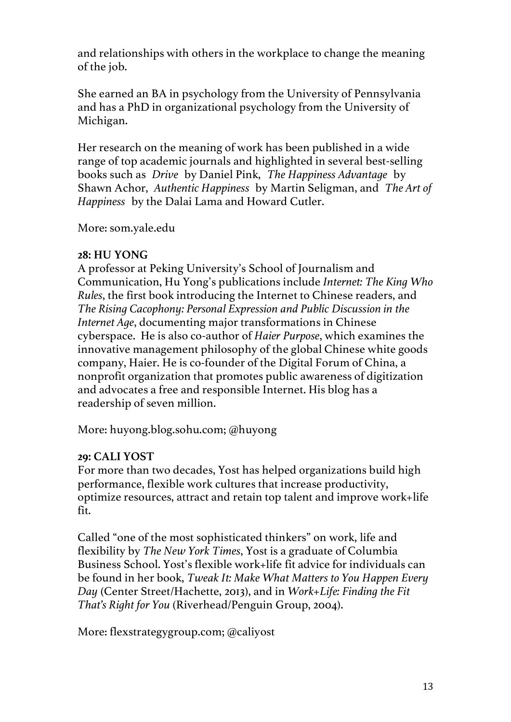and relationships with others in the workplace to change the meaning of the job.

She earned an BA in psychology from the University of Pennsylvania and has a PhD in organizational psychology from the University of Michigan.

Her research on the meaning of work has been published in a wide range of top academic journals and highlighted in several best-selling books such as *Drive* by Daniel Pink, *The Happiness Advantage* by Shawn Achor, *Authentic Happiness* by Martin Seligman, and *The Art of Happiness* by the Dalai Lama and Howard Cutler.

More: som.yale.edu

### **28: HU YONG**

A professor at Peking University's School of Journalism and Communication, Hu Yong's publications include *Internet: The King Who Rules*, the first book introducing the Internet to Chinese readers, and *The Rising Cacophony: Personal Expression and Public Discussion in the Internet Age*, documenting major transformations in Chinese cyberspace. He is also co-author of *Haier Purpose*, which examines the innovative management philosophy of the global Chinese white goods company, Haier. He is co-founder of the Digital Forum of China, a nonprofit organization that promotes public awareness of digitization and advocates a free and responsible Internet. His blog has a readership of seven million.

More: huyong.blog.sohu.com; @huyong

### **29: CALI YOST**

For more than two decades, Yost has helped organizations build high performance, flexible work cultures that increase productivity, optimize resources, attract and retain top talent and improve work+life fit.

Called "one of the most sophisticated thinkers" on work, life and flexibility by *The New York Times*, Yost is a graduate of Columbia Business School. Yost's flexible work+life fit advice for individuals can be found in her book, *Tweak It: Make What Matters to You Happen Every Day* (Center Street/Hachette, 2013), and in *Work+Life: Finding the Fit That's Right for You* (Riverhead/Penguin Group, 2004).

More: flexstrategygroup.com; @caliyost